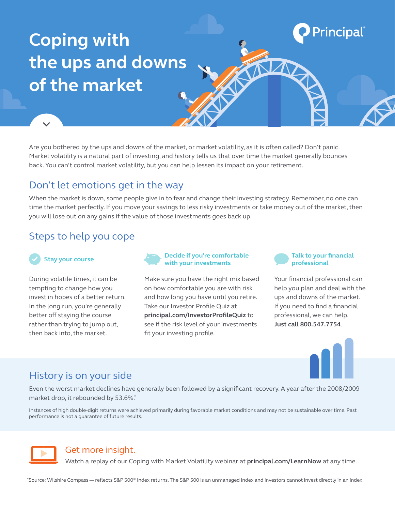# **Coping with the ups and downs of the market**

Are you bothered by the ups and downs of the market, or market volatility, as it is often called? Don't panic. Market volatility is a natural part of investing, and history tells us that over time the market generally bounces back. You can't control market volatility, but you can help lessen its impact on your retirement.

## Don't let emotions get in the way

When the market is down, some people give in to fear and change their investing strategy. Remember, no one can time the market perfectly. If you move your savings to less risky investments or take money out of the market, then you will lose out on any gains if the value of those investments goes back up.

# Steps to help you cope

### **Stay your course**

During volatile times, it can be tempting to change how you invest in hopes of a better return. In the long run, you're generally better off staying the course rather than trying to jump out, then back into, the market.



Make sure you have the right mix based on how comfortable you are with risk and how long you have until you retire. Take our Investor Profile Quiz at **[principal.com/InvestorProfileQuiz](http://principal.com/investorprofilequiz)** to see if the risk level of your investments fit your investing profile.



**Principal** 

NA

Your financial professional can help you plan and deal with the ups and downs of the market. If you need to find a financial professional, we can help. **Just call 800.547.7754**.



# History is on your side

Even the worst market declines have generally been followed by a significant recovery. A year after the 2008/2009 market drop, it rebounded by 53.6%.\*

Instances of high double-digit returns were achieved primarily during favorable market conditions and may not be sustainable over time. Past performance is not a guarantee of future results.



#### Get more insight.

Watch a replay of our Coping with Market Volatility webinar at **[principal.com/LearnNow](http://principal.com/learnnow)** at any time.